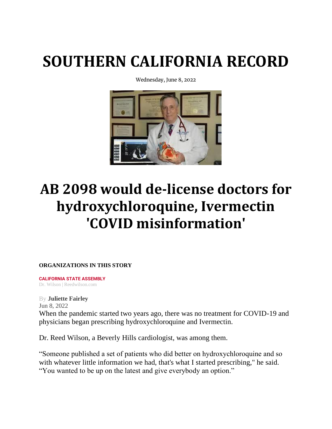## **[SOUTHERN CALIFORNIA RECORD](https://socalrecord.com/)**

Wednesday, June 8, 2022



## **AB 2098 would de-license doctors for hydroxychloroquine, Ivermectin 'COVID misinformation'**

**ORGANIZATIONS IN THIS STORY**

**[CALIFORNIA STATE ASSEMBLY](https://socalrecord.com/organizations/645083961-california-state-assembly)** Dr. Wilson | Reedwilson.com

By **[Juliette Fairley](https://socalrecord.com/author/juliette-fairley)** [Jun 8, 2022](https://socalrecord.com/stories/2022/jun) When the pandemic started two years ago, there was no treatment for COVID-19 and physicians began prescribing hydroxychloroquine and Ivermectin.

Dr. Reed Wilson, a Beverly Hills cardiologist, was among them.

"Someone published a set of patients who did better on hydroxychloroquine and so with whatever little information we had, that's what I started prescribing," he said. "You wanted to be up on the latest and give everybody an option."